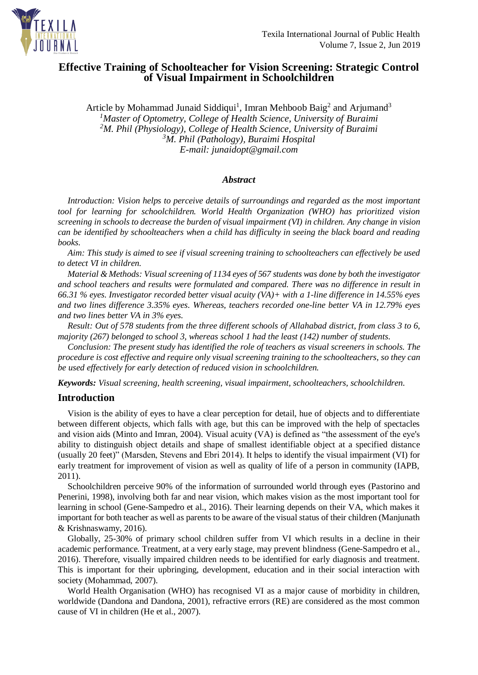

# **Effective Training of Schoolteacher for Vision Screening: Strategic Control of Visual Impairment in Schoolchildren**

Article by Mohammad Junaid Siddiqui<sup>1</sup>, Imran Mehboob Baig<sup>2</sup> and Arjumand<sup>3</sup> *<sup>1</sup>Master of Optometry, College of Health Science, University of Buraimi <sup>2</sup>M. Phil (Physiology), College of Health Science, University of Buraimi <sup>3</sup>M. Phil (Pathology), Buraimi Hospital E-mail: [junaidopt@gmail.com](mailto:junaidopt@gmail.com)*

# *Abstract*

*Introduction: Vision helps to perceive details of surroundings and regarded as the most important tool for learning for schoolchildren. World Health Organization (WHO) has prioritized vision screening in schools to decrease the burden of visual impairment (VI) in children. Any change in vision can be identified by schoolteachers when a child has difficulty in seeing the black board and reading books.*

*Aim: This study is aimed to see if visual screening training to schoolteachers can effectively be used to detect VI in children.*

*Material & Methods: Visual screening of 1134 eyes of 567 students was done by both the investigator and school teachers and results were formulated and compared. There was no difference in result in 66.31 % eyes. Investigator recorded better visual acuity (VA)+ with a 1-line difference in 14.55% eyes and two lines difference 3.35% eyes. Whereas, teachers recorded one-line better VA in 12.79% eyes and two lines better VA in 3% eyes.*

*Result: Out of 578 students from the three different schools of Allahabad district, from class 3 to 6, majority (267) belonged to school 3, whereas school 1 had the least (142) number of students.*

*Conclusion: The present study has identified the role of teachers as visual screeners in schools. The procedure is cost effective and require only visual screening training to the schoolteachers, so they can be used effectively for early detection of reduced vision in schoolchildren.*

*Keywords: Visual screening, health screening, visual impairment, schoolteachers, schoolchildren.*

# **Introduction**

Vision is the ability of eyes to have a clear perception for detail, hue of objects and to differentiate between different objects, which falls with age, but this can be improved with the help of spectacles and vision aids (Minto and Imran, 2004). Visual acuity (VA) is defined as "the assessment of the eye's ability to distinguish object details and shape of smallest identifiable object at a specified distance (usually 20 feet)" (Marsden, Stevens and Ebri 2014). It helps to identify the visual impairment (VI) for early treatment for improvement of vision as well as quality of life of a person in community (IAPB, 2011).

Schoolchildren perceive 90% of the information of surrounded world through eyes (Pastorino and Penerini, 1998), involving both far and near vision, which makes vision as the most important tool for learning in school (Gene-Sampedro et al., 2016). Their learning depends on their VA, which makes it important for both teacher as well as parents to be aware of the visual status of their children (Manjunath & Krishnaswamy, 2016).

Globally, 25-30% of primary school children suffer from VI which results in a decline in their academic performance. Treatment, at a very early stage, may prevent blindness (Gene-Sampedro et al., 2016). Therefore, visually impaired children needs to be identified for early diagnosis and treatment. This is important for their upbringing, development, education and in their social interaction with society (Mohammad, 2007).

World Health Organisation (WHO) has recognised VI as a major cause of morbidity in children, worldwide (Dandona and Dandona, 2001), refractive errors (RE) are considered as the most common cause of VI in children (He et al., 2007).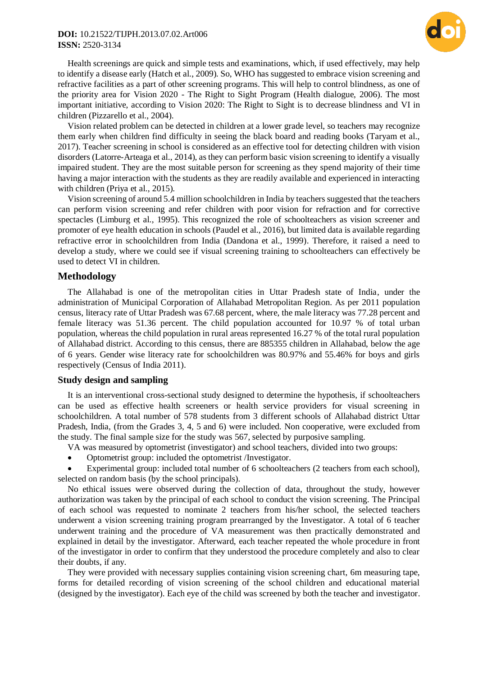# **DOI:** 10.21522/TIJPH.2013.07.02.Art006 **ISSN:** 2520-3134



Health screenings are quick and simple tests and examinations, which, if used effectively, may help to identify a disease early (Hatch et al., 2009). So, WHO has suggested to embrace vision screening and refractive facilities as a part of other screening programs. This will help to control blindness, as one of the priority area for Vision 2020 - The Right to Sight Program (Health dialogue, 2006). The most important initiative, according to Vision 2020: The Right to Sight is to decrease blindness and VI in children (Pizzarello et al., 2004).

Vision related problem can be detected in children at a lower grade level, so teachers may recognize them early when children find difficulty in seeing the black board and reading books (Taryam et al., 2017). Teacher screening in school is considered as an effective tool for detecting children with vision disorders (Latorre-Arteaga et al., 2014), as they can perform basic vision screening to identify a visually impaired student. They are the most suitable person for screening as they spend majority of their time having a major interaction with the students as they are readily available and experienced in interacting with children (Priya et al., 2015).

Vision screening of around 5.4 million schoolchildren in India by teachers suggested that the teachers can perform vision screening and refer children with poor vision for refraction and for corrective spectacles (Limburg et al., 1995). This recognized the role of schoolteachers as vision screener and promoter of eye health education in schools (Paudel et al., 2016), but limited data is available regarding refractive error in schoolchildren from India (Dandona et al., 1999). Therefore, it raised a need to develop a study, where we could see if visual screening training to schoolteachers can effectively be used to detect VI in children.

# **Methodology**

The Allahabad is one of the metropolitan cities in Uttar Pradesh state of India, under the administration of Municipal Corporation of [Allahabad Metropolitan Region.](https://www.census2011.co.in/census/metropolitan/87-allahabad.html) As per 2011 population census, literacy rate of Uttar Pradesh was 67.68 percent, where, the male literacy was 77.28 percent and female literacy was 51.36 percent. The child population accounted for 10.97 % of total urban population, whereas the child population in rural areas represented 16.27 % of the total rural population of Allahabad district. According to this census, there are 885355 children in Allahabad, below the age of 6 years. Gender wise literacy rate for schoolchildren was 80.97% and 55.46% for boys and girls respectively (Census of India 2011).

# **Study design and sampling**

It is an interventional cross-sectional study designed to determine the hypothesis, if schoolteachers can be used as effective health screeners or health service providers for visual screening in schoolchildren. A total number of 578 students from 3 different schools of Allahabad district Uttar Pradesh, India, (from the Grades 3, 4, 5 and 6) were included. Non cooperative, were excluded from the study. The final sample size for the study was 567, selected by purposive sampling.

- VA was measured by optometrist (investigator) and school teachers, divided into two groups:
- Optometrist group: included the optometrist /Investigator.

 Experimental group: included total number of 6 schoolteachers (2 teachers from each school), selected on random basis (by the school principals).

No ethical issues were observed during the collection of data, throughout the study, however authorization was taken by the principal of each school to conduct the vision screening. The Principal of each school was requested to nominate 2 teachers from his/her school, the selected teachers underwent a vision screening training program prearranged by the Investigator. A total of 6 teacher underwent training and the procedure of VA measurement was then practically demonstrated and explained in detail by the investigator. Afterward, each teacher repeated the whole procedure in front of the investigator in order to confirm that they understood the procedure completely and also to clear their doubts, if any.

They were provided with necessary supplies containing vision screening chart, 6m measuring tape, forms for detailed recording of vision screening of the school children and educational material (designed by the investigator). Each eye of the child was screened by both the teacher and investigator.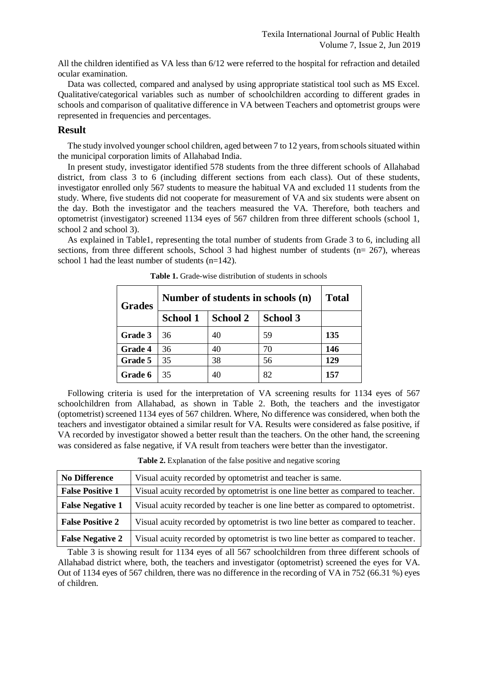All the children identified as VA less than 6/12 were referred to the hospital for refraction and detailed ocular examination.

Data was collected, compared and analysed by using appropriate statistical tool such as MS Excel. Qualitative/categorical variables such as number of schoolchildren according to different grades in schools and comparison of qualitative difference in VA between Teachers and optometrist groups were represented in frequencies and percentages.

# **Result**

The study involved younger school children, aged between 7 to 12 years, from schools situated within the municipal corporation limits of Allahabad India.

In present study, investigator identified 578 students from the three different schools of Allahabad district, from class 3 to 6 (including different sections from each class). Out of these students, investigator enrolled only 567 students to measure the habitual VA and excluded 11 students from the study. Where, five students did not cooperate for measurement of VA and six students were absent on the day. Both the investigator and the teachers measured the VA. Therefore, both teachers and optometrist (investigator) screened 1134 eyes of 567 children from three different schools (school 1, school 2 and school 3).

As explained in Table1, representing the total number of students from Grade 3 to 6, including all sections, from three different schools, School 3 had highest number of students ( $n= 267$ ), whereas school 1 had the least number of students  $(n=142)$ .

| <b>Grades</b>  | Number of students in schools (n) |          |                 | <b>Total</b> |
|----------------|-----------------------------------|----------|-----------------|--------------|
|                | <b>School 1</b>                   | School 2 | <b>School 3</b> |              |
| Grade 3        | 36                                | 40       | 59              | 135          |
| <b>Grade 4</b> | 36                                | 40       | 70              | 146          |
| Grade 5        | 35                                | 38       | 56              | 129          |
| Grade 6        | 35                                | 40       | 82              | 157          |

**Table 1.** Grade-wise distribution of students in schools

Following criteria is used for the interpretation of VA screening results for 1134 eyes of 567 schoolchildren from Allahabad, as shown in Table 2. Both, the teachers and the investigator (optometrist) screened 1134 eyes of 567 children. Where, No difference was considered, when both the teachers and investigator obtained a similar result for VA. Results were considered as false positive, if VA recorded by investigator showed a better result than the teachers. On the other hand, the screening was considered as false negative, if VA result from teachers were better than the investigator.

**Table 2.** Explanation of the false positive and negative scoring

| <b>No Difference</b>    | Visual acuity recorded by optometrist and teacher is same.                       |  |  |
|-------------------------|----------------------------------------------------------------------------------|--|--|
| <b>False Positive 1</b> | Visual acuity recorded by optometrist is one line better as compared to teacher. |  |  |
| <b>False Negative 1</b> | Visual acuity recorded by teacher is one line better as compared to optometrist. |  |  |
| <b>False Positive 2</b> | Visual acuity recorded by optometrist is two line better as compared to teacher. |  |  |
| <b>False Negative 2</b> | Visual acuity recorded by optometrist is two line better as compared to teacher. |  |  |

Table 3 is showing result for 1134 eyes of all 567 schoolchildren from three different schools of Allahabad district where, both, the teachers and investigator (optometrist) screened the eyes for VA. Out of 1134 eyes of 567 children, there was no difference in the recording of VA in 752 (66.31 %) eyes of children.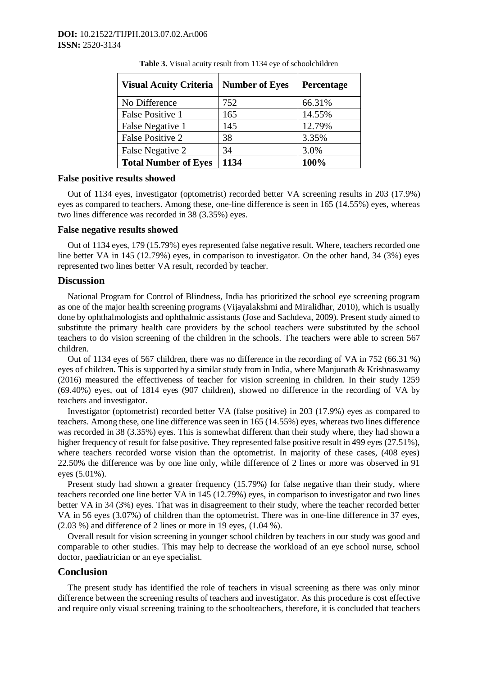| <b>Visual Acuity Criteria</b> | <b>Number of Eyes</b> | Percentage |
|-------------------------------|-----------------------|------------|
| No Difference                 | 752                   | 66.31%     |
| False Positive 1              | 165                   | 14.55%     |
| False Negative 1              | 145                   | 12.79%     |
| <b>False Positive 2</b>       | 38                    | 3.35%      |
| False Negative 2              | 34                    | 3.0%       |
| <b>Total Number of Eyes</b>   | 1134                  | 100%       |

**Table 3.** Visual acuity result from 1134 eye of schoolchildren

### **False positive results showed**

Out of 1134 eyes, investigator (optometrist) recorded better VA screening results in 203 (17.9%) eyes as compared to teachers. Among these, one-line difference is seen in 165 (14.55%) eyes, whereas two lines difference was recorded in 38 (3.35%) eyes.

### **False negative results showed**

Out of 1134 eyes, 179 (15.79%) eyes represented false negative result. Where, teachers recorded one line better VA in 145 (12.79%) eyes, in comparison to investigator. On the other hand, 34 (3%) eyes represented two lines better VA result, recorded by teacher.

### **Discussion**

National Program for Control of Blindness, India has prioritized the school eye screening program as one of the major health screening programs (Vijayalakshmi and Miralidhar, 2010), which is usually done by ophthalmologists and ophthalmic assistants (Jose and Sachdeva, 2009). Present study aimed to substitute the primary health care providers by the school teachers were substituted by the school teachers to do vision screening of the children in the schools. The teachers were able to screen 567 children.

Out of 1134 eyes of 567 children, there was no difference in the recording of VA in 752 (66.31 %) eyes of children. This is supported by a similar study from in India, where Manjunath & Krishnaswamy (2016) measured the effectiveness of teacher for vision screening in children. In their study 1259 (69.40%) eyes, out of 1814 eyes (907 children), showed no difference in the recording of VA by teachers and investigator.

Investigator (optometrist) recorded better VA (false positive) in 203 (17.9%) eyes as compared to teachers. Among these, one line difference was seen in 165 (14.55%) eyes, whereas two lines difference was recorded in 38 (3.35%) eyes. This is somewhat different than their study where, they had shown a higher frequency of result for false positive. They represented false positive result in 499 eyes (27.51%), where teachers recorded worse vision than the optometrist. In majority of these cases, (408 eyes) 22.50% the difference was by one line only, while difference of 2 lines or more was observed in 91 eyes (5.01%).

Present study had shown a greater frequency (15.79%) for false negative than their study, where teachers recorded one line better VA in 145 (12.79%) eyes, in comparison to investigator and two lines better VA in 34 (3%) eyes. That was in disagreement to their study, where the teacher recorded better VA in 56 eyes (3.07%) of children than the optometrist. There was in one-line difference in 37 eyes, (2.03 %) and difference of 2 lines or more in 19 eyes, (1.04 %).

Overall result for vision screening in younger school children by teachers in our study was good and comparable to other studies. This may help to decrease the workload of an eye school nurse, school doctor, paediatrician or an eye specialist.

# **Conclusion**

The present study has identified the role of teachers in visual screening as there was only minor difference between the screening results of teachers and investigator. As this procedure is cost effective and require only visual screening training to the schoolteachers, therefore, it is concluded that teachers